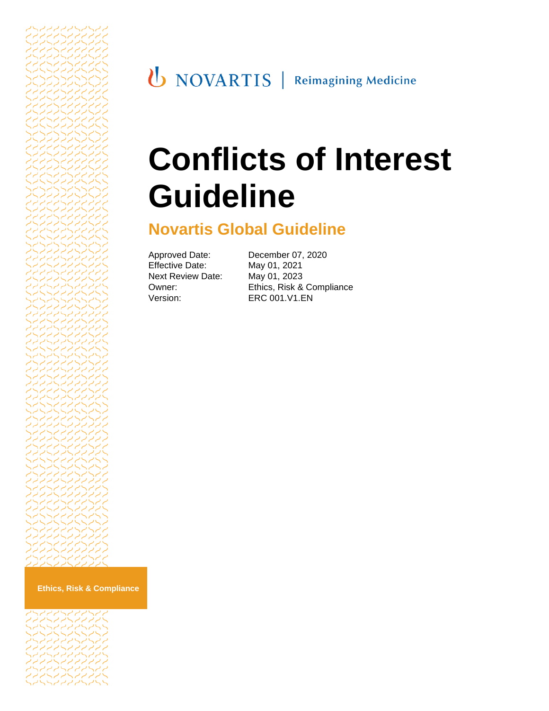# **Conflicts of Interest Guideline**

# **Novartis Global Guideline**

Approved Date: December 07, 2020 Effective Date: May 01, 2021 Next Review Date: May 01, 2023

Owner: Ethics, Risk & Compliance<br>Version: ERC 001.V1.EN ERC 001.V1.EN

**Ethics, Risk & Compliance**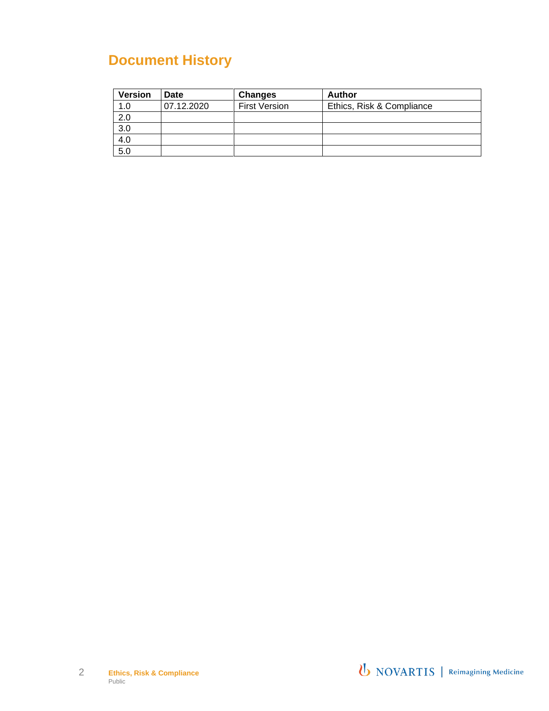# **Document History**

| <b>Version</b> | Date       | <b>Changes</b>       | Author                    |
|----------------|------------|----------------------|---------------------------|
| 1.0            | 07.12.2020 | <b>First Version</b> | Ethics, Risk & Compliance |
| 2.0            |            |                      |                           |
| 3.0            |            |                      |                           |
| 4.0            |            |                      |                           |
| 5.0            |            |                      |                           |

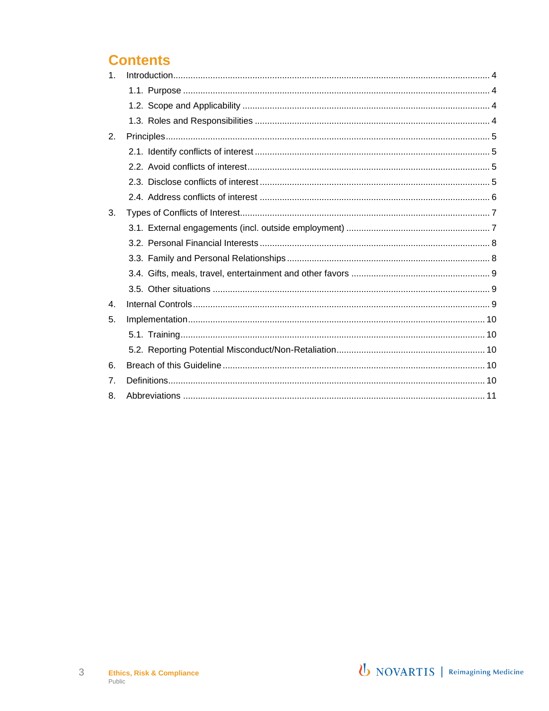# **Contents**

| 1.             |  |
|----------------|--|
|                |  |
|                |  |
|                |  |
| 2.             |  |
|                |  |
|                |  |
|                |  |
|                |  |
| 3.             |  |
|                |  |
|                |  |
|                |  |
|                |  |
|                |  |
| $\mathbf{4}$ . |  |
| 5.             |  |
|                |  |
|                |  |
| 6.             |  |
| 7 <sub>1</sub> |  |
| 8.             |  |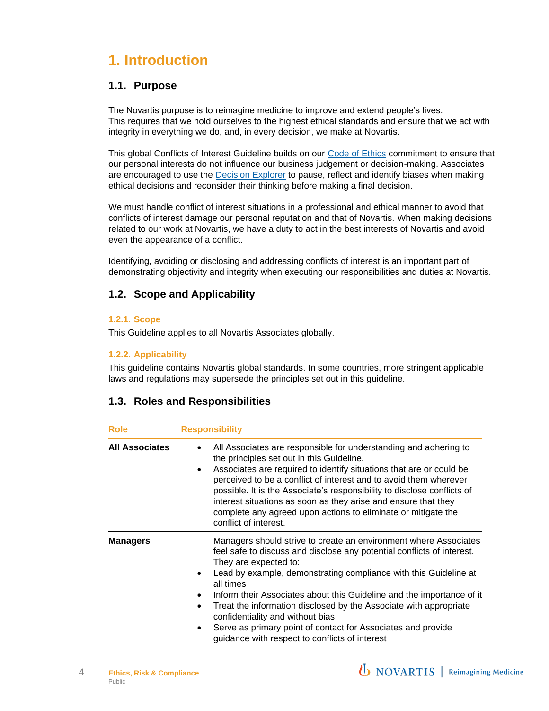# <span id="page-3-0"></span>**1. Introduction**

#### <span id="page-3-1"></span>**1.1. Purpose**

The Novartis purpose is to reimagine medicine to improve and extend people's lives. This requires that we hold ourselves to the highest ethical standards and ensure that we act with integrity in everything we do, and, in every decision, we make at Novartis.

This global Conflicts of Interest Guideline builds on our [Code of Ethics](https://share.novartis.net/sites/code-of-ethics) commitment to ensure that our personal interests do not influence our business judgement or decision-making. Associates are encouraged to use the [Decision](https://share.novartis.net/sites/code-of-ethics/SitePages/EthicalDecisionMakingFramework.aspx) Explorer to pause, reflect and identify biases when making ethical decisions and reconsider their thinking before making a final decision.

We must handle conflict of interest situations in a professional and ethical manner to avoid that conflicts of interest damage our personal reputation and that of Novartis. When making decisions related to our work at Novartis, we have a duty to act in the best interests of Novartis and avoid even the appearance of a conflict.

Identifying, avoiding or disclosing and addressing conflicts of interest is an important part of demonstrating objectivity and integrity when executing our responsibilities and duties at Novartis.

#### <span id="page-3-2"></span>**1.2. Scope and Applicability**

#### **1.2.1. Scope**

This Guideline applies to all Novartis Associates globally.

#### **1.2.2. Applicability**

This guideline contains Novartis global standards. In some countries, more stringent applicable laws and regulations may supersede the principles set out in this guideline.

#### <span id="page-3-3"></span>**1.3. Roles and Responsibilities**

| <b>Role</b>           | <b>Responsibility</b>                                                                                                                                                                                                                                                                                                                                                                                                                                                                                                                                                              |
|-----------------------|------------------------------------------------------------------------------------------------------------------------------------------------------------------------------------------------------------------------------------------------------------------------------------------------------------------------------------------------------------------------------------------------------------------------------------------------------------------------------------------------------------------------------------------------------------------------------------|
| <b>All Associates</b> | All Associates are responsible for understanding and adhering to<br>$\bullet$<br>the principles set out in this Guideline.<br>Associates are required to identify situations that are or could be<br>$\bullet$<br>perceived to be a conflict of interest and to avoid them wherever<br>possible. It is the Associate's responsibility to disclose conflicts of<br>interest situations as soon as they arise and ensure that they<br>complete any agreed upon actions to eliminate or mitigate the<br>conflict of interest.                                                         |
| <b>Managers</b>       | Managers should strive to create an environment where Associates<br>feel safe to discuss and disclose any potential conflicts of interest.<br>They are expected to:<br>Lead by example, demonstrating compliance with this Guideline at<br>all times<br>Inform their Associates about this Guideline and the importance of it<br>Treat the information disclosed by the Associate with appropriate<br>$\bullet$<br>confidentiality and without bias<br>Serve as primary point of contact for Associates and provide<br>$\bullet$<br>guidance with respect to conflicts of interest |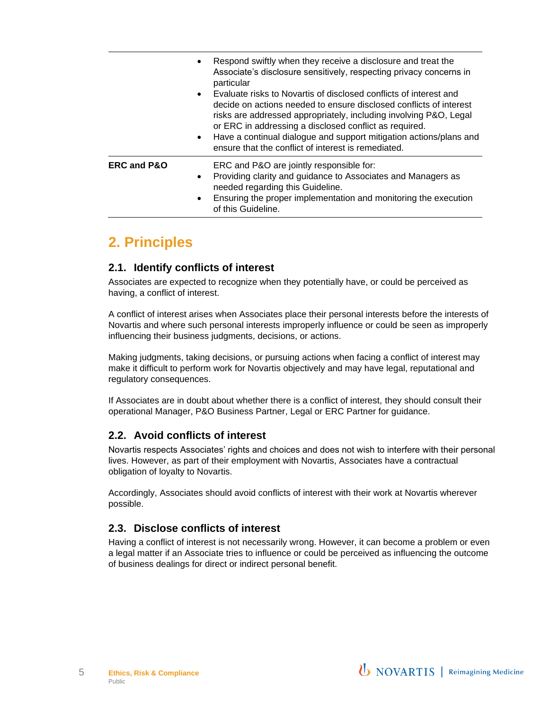|                        | Respond swiftly when they receive a disclosure and treat the<br>$\bullet$<br>Associate's disclosure sensitively, respecting privacy concerns in<br>particular<br>Evaluate risks to Novartis of disclosed conflicts of interest and<br>$\bullet$<br>decide on actions needed to ensure disclosed conflicts of interest<br>risks are addressed appropriately, including involving P&O, Legal<br>or ERC in addressing a disclosed conflict as required.<br>Have a continual dialogue and support mitigation actions/plans and<br>$\bullet$<br>ensure that the conflict of interest is remediated. |
|------------------------|------------------------------------------------------------------------------------------------------------------------------------------------------------------------------------------------------------------------------------------------------------------------------------------------------------------------------------------------------------------------------------------------------------------------------------------------------------------------------------------------------------------------------------------------------------------------------------------------|
| <b>ERC and P&amp;O</b> | ERC and P&O are jointly responsible for:<br>Providing clarity and guidance to Associates and Managers as<br>$\bullet$<br>needed regarding this Guideline.<br>Ensuring the proper implementation and monitoring the execution<br>$\bullet$<br>of this Guideline.                                                                                                                                                                                                                                                                                                                                |

### <span id="page-4-0"></span>**2. Principles**

#### <span id="page-4-1"></span>**2.1. Identify conflicts of interest**

Associates are expected to recognize when they potentially have, or could be perceived as having, a conflict of interest.

A conflict of interest arises when Associates place their personal interests before the interests of Novartis and where such personal interests improperly influence or could be seen as improperly influencing their business judgments, decisions, or actions.

Making judgments, taking decisions, or pursuing actions when facing a conflict of interest may make it difficult to perform work for Novartis objectively and may have legal, reputational and regulatory consequences.

If Associates are in doubt about whether there is a conflict of interest, they should consult their operational Manager, P&O Business Partner, Legal or ERC Partner for guidance.

#### <span id="page-4-2"></span>**2.2. Avoid conflicts of interest**

Novartis respects Associates' rights and choices and does not wish to interfere with their personal lives. However, as part of their employment with Novartis, Associates have a contractual obligation of loyalty to Novartis.

Accordingly, Associates should avoid conflicts of interest with their work at Novartis wherever possible.

#### <span id="page-4-3"></span>**2.3. Disclose conflicts of interest**

Having a conflict of interest is not necessarily wrong. However, it can become a problem or even a legal matter if an Associate tries to influence or could be perceived as influencing the outcome of business dealings for direct or indirect personal benefit.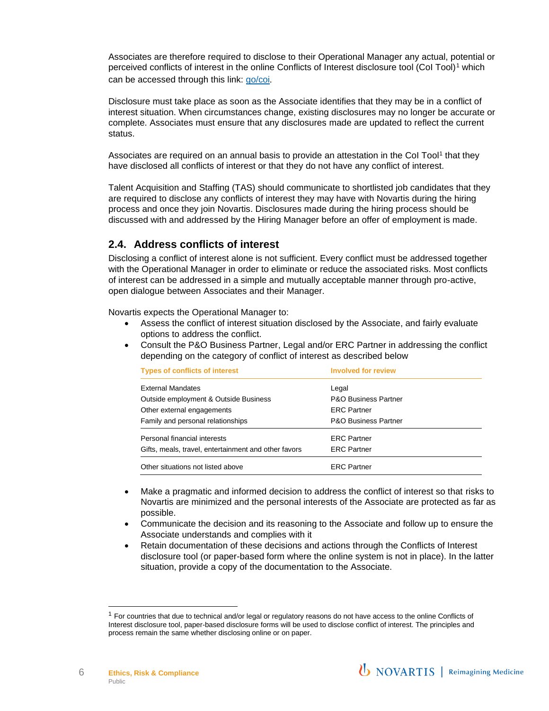Associates are therefore required to disclose to their Operational Manager any actual, potential or perceived conflicts of interest in the online Conflicts of Interest disclosure tool (CoI Tool)<sup>1</sup> which can be accessed through this link: [go/coi](https://go/coi).

Disclosure must take place as soon as the Associate identifies that they may be in a conflict of interest situation. When circumstances change, existing disclosures may no longer be accurate or complete. Associates must ensure that any disclosures made are updated to reflect the current status.

Associates are required on an annual basis to provide an attestation in the Col Tool<sup>1</sup> that they have disclosed all conflicts of interest or that they do not have any conflict of interest.

Talent Acquisition and Staffing (TAS) should communicate to shortlisted job candidates that they are required to disclose any conflicts of interest they may have with Novartis during the hiring process and once they join Novartis. Disclosures made during the hiring process should be discussed with and addressed by the Hiring Manager before an offer of employment is made.

#### <span id="page-5-0"></span>**2.4. Address conflicts of interest**

Disclosing a conflict of interest alone is not sufficient. Every conflict must be addressed together with the Operational Manager in order to eliminate or reduce the associated risks. Most conflicts of interest can be addressed in a simple and mutually acceptable manner through pro-active, open dialogue between Associates and their Manager.

Novartis expects the Operational Manager to:

- Assess the conflict of interest situation disclosed by the Associate, and fairly evaluate options to address the conflict.
- Consult the P&O Business Partner, Legal and/or ERC Partner in addressing the conflict depending on the category of conflict of interest as described below

| <b>Types of conflicts of interest</b>                | <b>Involved for review</b>      |
|------------------------------------------------------|---------------------------------|
| <b>External Mandates</b>                             | Legal                           |
| Outside employment & Outside Business                | <b>P&amp;O Business Partner</b> |
| Other external engagements                           | <b>ERC Partner</b>              |
| Family and personal relationships                    | <b>P&amp;O Business Partner</b> |
| Personal financial interests                         | <b>ERC</b> Partner              |
| Gifts, meals, travel, entertainment and other favors | <b>ERC</b> Partner              |
| Other situations not listed above                    | <b>ERC</b> Partner              |

- Make a pragmatic and informed decision to address the conflict of interest so that risks to Novartis are minimized and the personal interests of the Associate are protected as far as possible.
- Communicate the decision and its reasoning to the Associate and follow up to ensure the Associate understands and complies with it
- Retain documentation of these decisions and actions through the Conflicts of Interest disclosure tool (or paper-based form where the online system is not in place). In the latter situation, provide a copy of the documentation to the Associate.

6

 $1$  For countries that due to technical and/or legal or regulatory reasons do not have access to the online Conflicts of Interest disclosure tool, paper-based disclosure forms will be used to disclose conflict of interest. The principles and process remain the same whether disclosing online or on paper.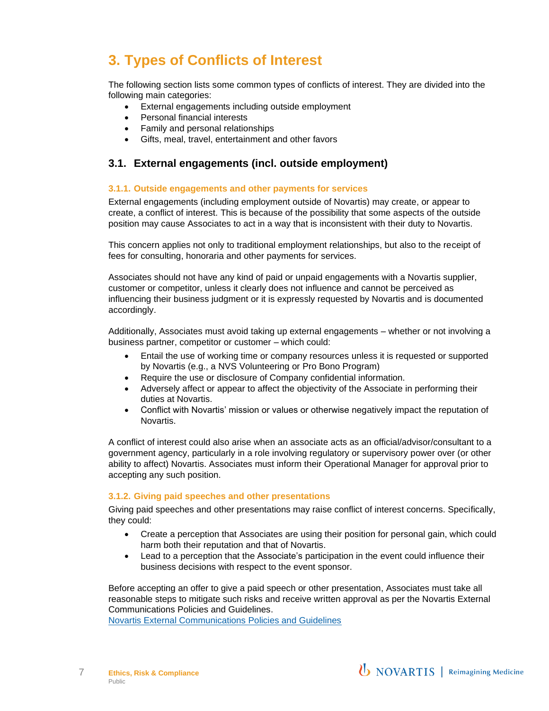# <span id="page-6-0"></span>**3. Types of Conflicts of Interest**

The following section lists some common types of conflicts of interest. They are divided into the following main categories:

- External engagements including outside employment
- Personal financial interests
- Family and personal relationships
- Gifts, meal, travel, entertainment and other favors

#### <span id="page-6-1"></span>**3.1. External engagements (incl. outside employment)**

#### **3.1.1. Outside engagements and other payments for services**

External engagements (including employment outside of Novartis) may create, or appear to create, a conflict of interest. This is because of the possibility that some aspects of the outside position may cause Associates to act in a way that is inconsistent with their duty to Novartis.

This concern applies not only to traditional employment relationships, but also to the receipt of fees for consulting, honoraria and other payments for services.

Associates should not have any kind of paid or unpaid engagements with a Novartis supplier, customer or competitor, unless it clearly does not influence and cannot be perceived as influencing their business judgment or it is expressly requested by Novartis and is documented accordingly.

Additionally, Associates must avoid taking up external engagements – whether or not involving a business partner, competitor or customer – which could:

- Entail the use of working time or company resources unless it is requested or supported by Novartis (e.g., a NVS Volunteering or Pro Bono Program)
- Require the use or disclosure of Company confidential information.
- Adversely affect or appear to affect the objectivity of the Associate in performing their duties at Novartis.
- Conflict with Novartis' mission or values or otherwise negatively impact the reputation of Novartis.

A conflict of interest could also arise when an associate acts as an official/advisor/consultant to a government agency, particularly in a role involving regulatory or supervisory power over (or other ability to affect) Novartis. Associates must inform their Operational Manager for approval prior to accepting any such position.

#### **3.1.2. Giving paid speeches and other presentations**

Giving paid speeches and other presentations may raise conflict of interest concerns. Specifically, they could:

- Create a perception that Associates are using their position for personal gain, which could harm both their reputation and that of Novartis.
- Lead to a perception that the Associate's participation in the event could influence their business decisions with respect to the event sponsor.

Before accepting an offer to give a paid speech or other presentation, Associates must take all reasonable steps to mitigate such risks and receive written approval as per the Novartis External Communications Policies and Guidelines.

[Novartis External Communications Policies and Guidelines](https://share.novartis.net/sites/comms/ExternalComms/SitePages/Policies%20&%20Guidelines.aspx)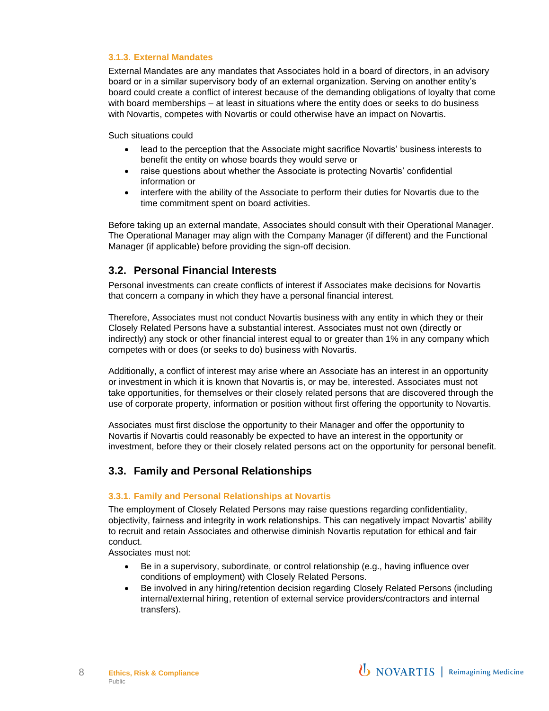#### **3.1.3. External Mandates**

External Mandates are any mandates that Associates hold in a board of directors, in an advisory board or in a similar supervisory body of an external organization. Serving on another entity's board could create a conflict of interest because of the demanding obligations of loyalty that come with board memberships – at least in situations where the entity does or seeks to do business with Novartis, competes with Novartis or could otherwise have an impact on Novartis.

Such situations could

- lead to the perception that the Associate might sacrifice Novartis' business interests to benefit the entity on whose boards they would serve or
- raise questions about whether the Associate is protecting Novartis' confidential information or
- interfere with the ability of the Associate to perform their duties for Novartis due to the time commitment spent on board activities.

Before taking up an external mandate, Associates should consult with their Operational Manager. The Operational Manager may align with the Company Manager (if different) and the Functional Manager (if applicable) before providing the sign-off decision.

#### <span id="page-7-0"></span>**3.2. Personal Financial Interests**

Personal investments can create conflicts of interest if Associates make decisions for Novartis that concern a company in which they have a personal financial interest.

Therefore, Associates must not conduct Novartis business with any entity in which they or their Closely Related Persons have a substantial interest. Associates must not own (directly or indirectly) any stock or other financial interest equal to or greater than 1% in any company which competes with or does (or seeks to do) business with Novartis.

Additionally, a conflict of interest may arise where an Associate has an interest in an opportunity or investment in which it is known that Novartis is, or may be, interested. Associates must not take opportunities, for themselves or their closely related persons that are discovered through the use of corporate property, information or position without first offering the opportunity to Novartis.

Associates must first disclose the opportunity to their Manager and offer the opportunity to Novartis if Novartis could reasonably be expected to have an interest in the opportunity or investment, before they or their closely related persons act on the opportunity for personal benefit.

#### <span id="page-7-1"></span>**3.3. Family and Personal Relationships**

#### **3.3.1. Family and Personal Relationships at Novartis**

The employment of Closely Related Persons may raise questions regarding confidentiality, objectivity, fairness and integrity in work relationships. This can negatively impact Novartis' ability to recruit and retain Associates and otherwise diminish Novartis reputation for ethical and fair conduct.

Associates must not:

- Be in a supervisory, subordinate, or control relationship (e.g., having influence over conditions of employment) with Closely Related Persons.
- Be involved in any hiring/retention decision regarding Closely Related Persons (including internal/external hiring, retention of external service providers/contractors and internal transfers).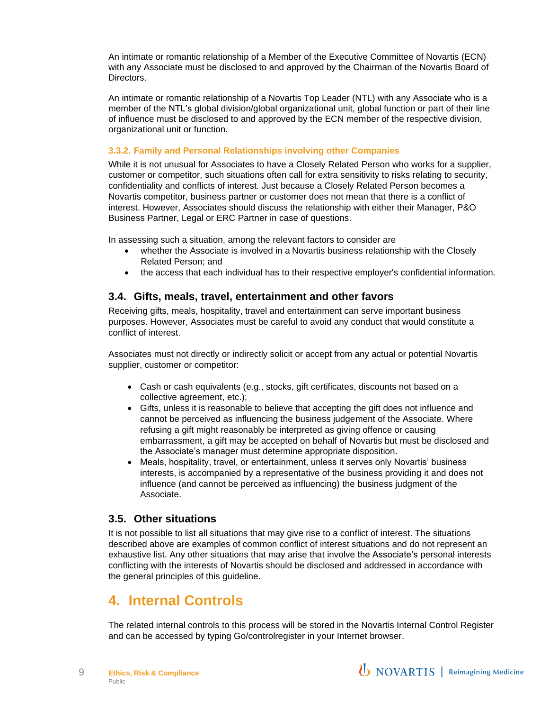An intimate or romantic relationship of a Member of the Executive Committee of Novartis (ECN) with any Associate must be disclosed to and approved by the Chairman of the Novartis Board of Directors.

An intimate or romantic relationship of a Novartis Top Leader (NTL) with any Associate who is a member of the NTL's global division/global organizational unit, global function or part of their line of influence must be disclosed to and approved by the ECN member of the respective division, organizational unit or function.

#### **3.3.2. Family and Personal Relationships involving other Companies**

While it is not unusual for Associates to have a Closely Related Person who works for a supplier, customer or competitor, such situations often call for extra sensitivity to risks relating to security, confidentiality and conflicts of interest. Just because a Closely Related Person becomes a Novartis competitor, business partner or customer does not mean that there is a conflict of interest. However, Associates should discuss the relationship with either their Manager, P&O Business Partner, Legal or ERC Partner in case of questions.

In assessing such a situation, among the relevant factors to consider are

- whether the Associate is involved in a Novartis business relationship with the Closely Related Person; and
- the access that each individual has to their respective employer's confidential information.

#### <span id="page-8-0"></span>**3.4. Gifts, meals, travel, entertainment and other favors**

Receiving gifts, meals, hospitality, travel and entertainment can serve important business purposes. However, Associates must be careful to avoid any conduct that would constitute a conflict of interest.

Associates must not directly or indirectly solicit or accept from any actual or potential Novartis supplier, customer or competitor:

- Cash or cash equivalents (e.g., stocks, gift certificates, discounts not based on a collective agreement, etc.);
- Gifts, unless it is reasonable to believe that accepting the gift does not influence and cannot be perceived as influencing the business judgement of the Associate. Where refusing a gift might reasonably be interpreted as giving offence or causing embarrassment, a gift may be accepted on behalf of Novartis but must be disclosed and the Associate's manager must determine appropriate disposition.
- Meals, hospitality, travel, or entertainment, unless it serves only Novartis' business interests, is accompanied by a representative of the business providing it and does not influence (and cannot be perceived as influencing) the business judgment of the Associate.

#### <span id="page-8-1"></span>**3.5. Other situations**

It is not possible to list all situations that may give rise to a conflict of interest. The situations described above are examples of common conflict of interest situations and do not represent an exhaustive list. Any other situations that may arise that involve the Associate's personal interests conflicting with the interests of Novartis should be disclosed and addressed in accordance with the general principles of this guideline.

### <span id="page-8-2"></span>**4. Internal Controls**

The related internal controls to this process will be stored in the Novartis Internal Control Register and can be accessed by typing Go/controlregister in your Internet browser.

9

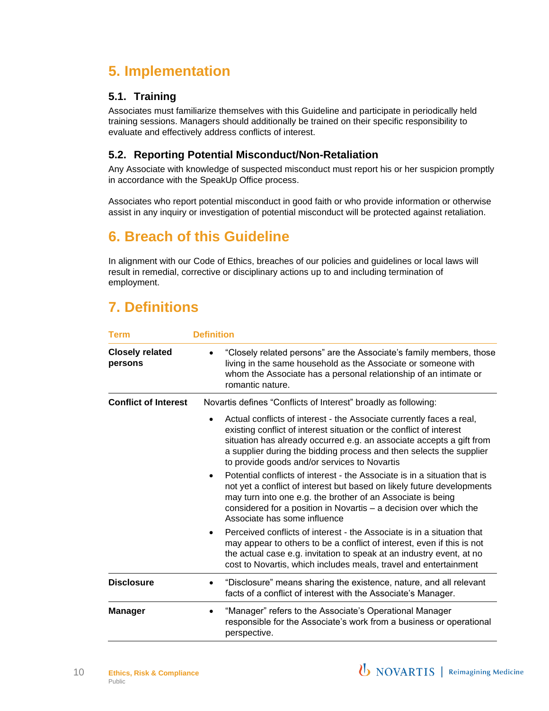# <span id="page-9-0"></span>**5. Implementation**

#### <span id="page-9-1"></span>**5.1. Training**

Associates must familiarize themselves with this Guideline and participate in periodically held training sessions. Managers should additionally be trained on their specific responsibility to evaluate and effectively address conflicts of interest.

#### <span id="page-9-2"></span>**5.2. Reporting Potential Misconduct/Non-Retaliation**

Any Associate with knowledge of suspected misconduct must report his or her suspicion promptly in accordance with the SpeakUp Office process.

Associates who report potential misconduct in good faith or who provide information or otherwise assist in any inquiry or investigation of potential misconduct will be protected against retaliation.

# <span id="page-9-3"></span>**6. Breach of this Guideline**

In alignment with our Code of Ethics, breaches of our policies and guidelines or local laws will result in remedial, corrective or disciplinary actions up to and including termination of employment.

# <span id="page-9-4"></span>**7. Definitions**

| Term                              | <b>Definition</b>                                                                                                                                                                                                                                                                                                                                       |
|-----------------------------------|---------------------------------------------------------------------------------------------------------------------------------------------------------------------------------------------------------------------------------------------------------------------------------------------------------------------------------------------------------|
| <b>Closely related</b><br>persons | "Closely related persons" are the Associate's family members, those<br>living in the same household as the Associate or someone with<br>whom the Associate has a personal relationship of an intimate or<br>romantic nature.                                                                                                                            |
| <b>Conflict of Interest</b>       | Novartis defines "Conflicts of Interest" broadly as following:                                                                                                                                                                                                                                                                                          |
|                                   | Actual conflicts of interest - the Associate currently faces a real,<br>$\bullet$<br>existing conflict of interest situation or the conflict of interest<br>situation has already occurred e.g. an associate accepts a gift from<br>a supplier during the bidding process and then selects the supplier<br>to provide goods and/or services to Novartis |
|                                   | Potential conflicts of interest - the Associate is in a situation that is<br>$\bullet$<br>not yet a conflict of interest but based on likely future developments<br>may turn into one e.g. the brother of an Associate is being<br>considered for a position in Novartis - a decision over which the<br>Associate has some influence                    |
|                                   | Perceived conflicts of interest - the Associate is in a situation that<br>$\bullet$<br>may appear to others to be a conflict of interest, even if this is not<br>the actual case e.g. invitation to speak at an industry event, at no<br>cost to Novartis, which includes meals, travel and entertainment                                               |
| <b>Disclosure</b>                 | "Disclosure" means sharing the existence, nature, and all relevant<br>٠<br>facts of a conflict of interest with the Associate's Manager.                                                                                                                                                                                                                |
| <b>Manager</b>                    | "Manager" refers to the Associate's Operational Manager<br>responsible for the Associate's work from a business or operational<br>perspective.                                                                                                                                                                                                          |